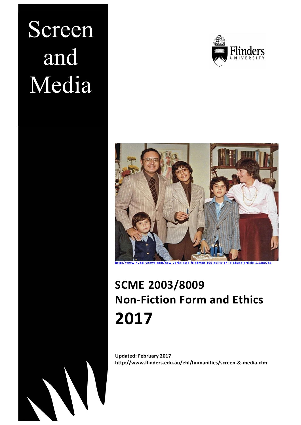# Screen and Media





# **SCME 2003/8009 Non-Fiction Form and Ethics 2017**

**Updated: February 2017 http://www.flinders.edu.au/ehl/humanities/screen-&-media.cfm**

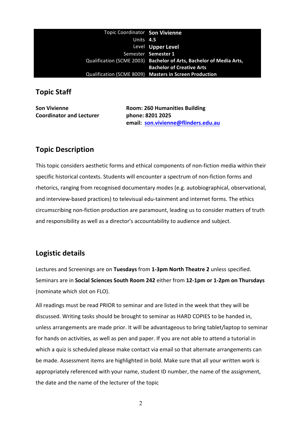| Topic Coordinator Son Vivienne |                                                                     |
|--------------------------------|---------------------------------------------------------------------|
| Units 4.5                      |                                                                     |
|                                | Level Upper Level                                                   |
|                                | Semester Semester 1                                                 |
|                                | Qualification (SCME 2003) Bachelor of Arts, Bachelor of Media Arts, |
|                                | <b>Bachelor of Creative Arts</b>                                    |
|                                | Qualification (SCME 8009) Masters in Screen Production              |

#### **Topic Staff**

| <b>Son Vivienne</b>             | <b>Room: 260 Humanities Building</b> |
|---------------------------------|--------------------------------------|
| <b>Coordinator and Lecturer</b> | phone: 8201 2025                     |
|                                 | email: son.vivienne@flinders.edu.au  |

#### **Topic Description**

This topic considers aesthetic forms and ethical components of non-fiction media within their specific historical contexts. Students will encounter a spectrum of non-fiction forms and rhetorics, ranging from recognised documentary modes (e.g. autobiographical, observational, and interview-based practices) to televisual edu-tainment and internet forms. The ethics circumscribing non-fiction production are paramount, leading us to consider matters of truth and responsibility as well as a director's accountability to audience and subject.

#### **Logistic details**

Lectures and Screenings are on Tuesdays from 1-3pm North Theatre 2 unless specified. Seminars are in **Social Sciences South Room 242** either from 12-1pm or 1-2pm on Thursdays (nominate which slot on FLO).

All readings must be read PRIOR to seminar and are listed in the week that they will be discussed. Writing tasks should be brought to seminar as HARD COPIES to be handed in, unless arrangements are made prior. It will be advantageous to bring tablet/laptop to seminar for hands on activities, as well as pen and paper. If you are not able to attend a tutorial in which a quiz is scheduled please make contact via email so that alternate arrangements can be made. Assessment items are highlighted in bold. Make sure that all your written work is appropriately referenced with your name, student ID number, the name of the assignment, the date and the name of the lecturer of the topic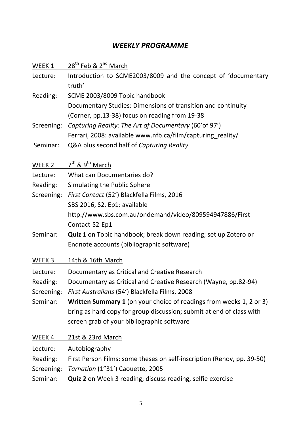#### *WEEKLY PROGRAMME*

| WEEK 1     | 28 <sup>th</sup> Feb & 2 <sup>nd</sup> March                               |
|------------|----------------------------------------------------------------------------|
| Lecture:   | Introduction to SCME2003/8009 and the concept of 'documentary<br>truth'    |
| Reading:   | SCME 2003/8009 Topic handbook                                              |
|            | Documentary Studies: Dimensions of transition and continuity               |
|            | (Corner, pp.13-38) focus on reading from 19-38                             |
| Screening: | Capturing Reality: The Art of Documentary (60' of 97')                     |
|            | Ferrari, 2008: available www.nfb.ca/film/capturing_reality/                |
| Seminar:   | Q&A plus second half of Capturing Reality                                  |
| WEEK 2     | 7 <sup>th</sup> & 9 <sup>th</sup> March                                    |
| Lecture:   | What can Documentaries do?                                                 |
| Reading:   | Simulating the Public Sphere                                               |
| Screening: | First Contact (52') Blackfella Films, 2016                                 |
|            | SBS 2016, S2, Ep1: available                                               |
|            | http://www.sbs.com.au/ondemand/video/809594947886/First-                   |
|            | Contact-S2-Ep1                                                             |
| Seminar:   | <b>Quiz 1</b> on Topic handbook; break down reading; set up Zotero or      |
|            | Endnote accounts (bibliographic software)                                  |
| WEEK 3     | 14th & 16th March                                                          |
| Lecture:   | Documentary as Critical and Creative Research                              |
| Reading:   | Documentary as Critical and Creative Research (Wayne, pp.82-94)            |
|            | Screening: First Australians (54') Blackfella Films, 2008                  |
| Seminar:   | <b>Written Summary 1</b> (on your choice of readings from weeks 1, 2 or 3) |
|            | bring as hard copy for group discussion; submit at end of class with       |
|            | screen grab of your bibliographic software                                 |
| WEEK4      | 21st & 23rd March                                                          |
| Lecture:   | Autobiography                                                              |
| Reading:   | First Person Films: some theses on self-inscription (Renov, pp. 39-50)     |
| Screening: | Tarnation (1"31') Caouette, 2005                                           |
| Seminar:   | Quiz 2 on Week 3 reading; discuss reading, selfie exercise                 |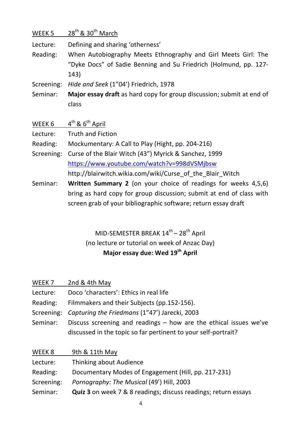| WEEK 5     | $28^{\text{th}}$ & $30^{\text{th}}$ March                                    |
|------------|------------------------------------------------------------------------------|
| Lecture:   | Defining and sharing 'otherness'                                             |
| Reading:   | When Autobiography Meets Ethnography and Girl Meets Girl: The                |
|            | "Dyke Docs" of Sadie Benning and Su Friedrich (Holmund, pp. 127-             |
|            | 143)                                                                         |
| Screening: | Hide and Seek (1"04') Friedrich, 1978                                        |
| Seminar:   | <b>Major essay draft</b> as hard copy for group discussion; submit at end of |
|            | class                                                                        |
|            |                                                                              |
|            |                                                                              |
| WEEK 6     | $4th$ & $6th$ April                                                          |
| Lecture:   | <b>Truth and Fiction</b>                                                     |
| Reading:   | Mockumentary: A Call to Play (Hight, pp. 204-216)                            |
| Screening: | Curse of the Blair Witch (43") Myrick & Sanchez, 1999                        |
|            | https://www.youtube.com/watch?v=998dVSMjbsw                                  |
|            | http://blairwitch.wikia.com/wiki/Curse of the Blair Witch                    |
| Seminar:   | <b>Written Summary 2</b> (on your choice of readings for weeks 4,5,6)        |
|            | bring as hard copy for group discussion; submit at end of class with         |
|            | screen grab of your bibliographic software; return essay draft               |

MID-SEMESTER BREAK  $14^{\text{th}} - 28^{\text{th}}$  April (no lecture or tutorial on week of Anzac Day) **Major essay due: Wed 19<sup>th</sup> April** 

| WEEK <sub>7</sub> | 2nd & 4th May                                                         |
|-------------------|-----------------------------------------------------------------------|
| Lecture:          | Doco 'characters': Ethics in real life                                |
| Reading:          | Filmmakers and their Subjects (pp.152-156).                           |
| Screening:        | Capturing the Friedmans (1"47') Jarecki, 2003                         |
| Seminar:          | Discuss screening and readings $-$ how are the ethical issues we've   |
|                   | discussed in the topic so far pertinent to your self-portrait?        |
|                   |                                                                       |
| WEEK 8            | 9th & 11th May                                                        |
| Lecture:          | <b>Thinking about Audience</b>                                        |
| Reading:          | Documentary Modes of Engagement (Hill, pp. 217-231)                   |
| Screening:        | Pornography: The Musical (49') Hill, 2003                             |
| Seminar:          | <b>Quiz 3</b> on week 7 & 8 readings; discuss readings; return essays |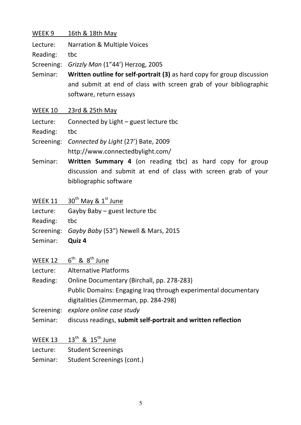| WEEK 9     | 16th & 18th May                                                         |
|------------|-------------------------------------------------------------------------|
| Lecture:   | <b>Narration &amp; Multiple Voices</b>                                  |
| Reading:   | tbc                                                                     |
| Screening: | Grizzly Man (1"44') Herzog, 2005                                        |
| Seminar:   | Written outline for self-portrait (3) as hard copy for group discussion |
|            | and submit at end of class with screen grab of your bibliographic       |
|            | software, return essays                                                 |
| WEEK 10    | 23rd & 25th May                                                         |
| Lecture:   | Connected by Light – guest lecture tbc                                  |
| Reading:   | tbc                                                                     |
| Screening: | Connected by Light (27') Bate, 2009                                     |
|            | http://www.connectedbylight.com/                                        |
| Seminar:   | <b>Written Summary 4</b> (on reading tbc) as hard copy for group        |
|            | discussion and submit at end of class with screen grab of your          |
|            | bibliographic software                                                  |
|            |                                                                         |
| WEEK 11    | $30th$ May & $1st$ June                                                 |
| Lecture:   | Gayby Baby - guest lecture tbc                                          |
| Reading:   | tbc                                                                     |
| Screening: | Gayby Baby (53") Newell & Mars, 2015                                    |
| Seminar:   | Quiz 4                                                                  |
| WEEK 12    | $6^{th}$ & $8^{th}$ June                                                |
| Lecture:   | <b>Alternative Platforms</b>                                            |
| Reading:   | Online Documentary (Birchall, pp. 278-283)                              |
|            | Public Domains: Engaging Iraq through experimental documentary          |
|            | digitalities (Zimmerman, pp. 284-298)                                   |
| Screening: | explore online case study                                               |
| Seminar:   | discuss readings, submit self-portrait and written reflection           |
| WEEK 13    | $13^{th}$ & $15^{th}$ June                                              |
| Lecture:   | <b>Student Screenings</b>                                               |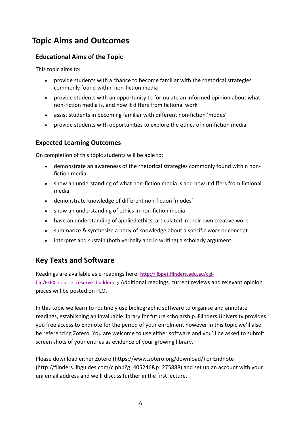# **Topic Aims and Outcomes**

#### **Educational Aims of the Topic**

This topic aims to:

- provide students with a chance to become familiar with the rhetorical strategies commonly found within non-fiction media
- provide students with an opportunity to formulate an informed opinion about what non-fiction media is, and how it differs from fictional work
- assist students in becoming familiar with different non-fiction 'modes'
- provide students with opportunities to explore the ethics of non-fiction media

#### **Expected Learning Outcomes**

On completion of this topic students will be able to:

- demonstrate an awareness of the rhetorical strategies commonly found within nonfiction media
- show an understanding of what non-fiction media is and how it differs from fictional media
- demonstrate knowledge of different non-fiction 'modes'
- show an understanding of ethics in non-fiction media
- have an understanding of applied ethics, articulated in their own creative work
- summarize & synthesize a body of knowledge about a specific work or concept
- interpret and sustain (both verbally and in writing) a scholarly argument

#### **Key Texts and Software**

Readings are available as e-readings here: http://libpet.flinders.edu.au/cgi-

bin/FLEX course reserve builder.cgi Additional readings, current reviews and relevant opinion pieces will be posted on FLO.

In this topic we learn to routinely use bibliographic software to organise and annotate readings, establishing an invaluable library for future scholarship. Flinders University provides you free access to Endnote for the period of your enrolment however in this topic we'll also be referencing Zotero. You are welcome to use either software and you'll be asked to submit screen shots of your entries as evidence of your growing library.

Please download either Zotero (https://www.zotero.org/download/) or Endnote  $(http://flinders.libguides.com/c.php?g=405246&p=275888)$  and set up an account with your uni email address and we'll discuss further in the first lecture.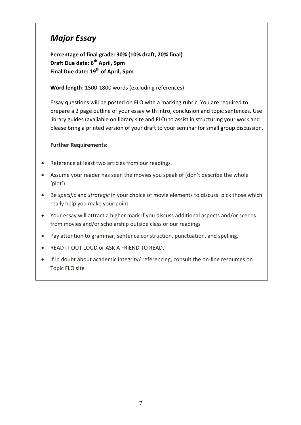# *Major Essay*

Percentage of final grade: 30% (10% draft, 20% final) **Draft Due date:**  $6^{th}$  **April, 5pm Final Due date: 19<sup>th</sup> of April, 5pm** 

**Word length**: 1500-1800 words (excluding references)

Essay questions will be posted on FLO with a marking rubric. You are required to prepare a 2 page outline of your essay with intro, conclusion and topic sentences. Use library guides (available on library site and FLO) to assist in structuring your work and please bring a printed version of your draft to your seminar for small group discussion.

#### **Further Requirements:**

- Reference at least two articles from our readings
- Assume your reader has seen the movies you speak of (don't describe the whole 'plot')
- Be *specific* and *strategic* in your choice of movie elements to discuss: pick those which really help you make your point
- Your essay will attract a higher mark if you discuss additional aspects and/or scenes from movies and/or scholarship outside class or our readings
- Pay attention to grammar, sentence construction, punctuation, and spelling.
- READ IT OUT LOUD or ASK A FRIEND TO READ.
- If in doubt about academic integrity/ referencing, consult the on-line resources on Topic FLO site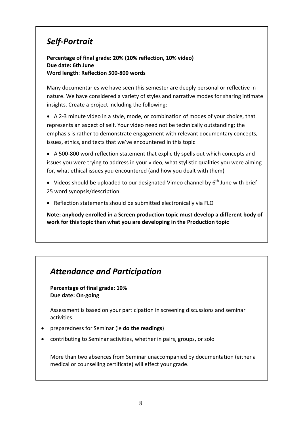# *Self-Portrait*

**Percentage of final grade: 20% (10% reflection, 10% video) Due date: 6th June** Word length: Reflection 500-800 words

Many documentaries we have seen this semester are deeply personal or reflective in nature. We have considered a variety of styles and narrative modes for sharing intimate insights. Create a project including the following:

• A 2-3 minute video in a style, mode, or combination of modes of your choice, that represents an aspect of self. Your video need not be technically outstanding; the emphasis is rather to demonstrate engagement with relevant documentary concepts, issues, ethics, and texts that we've encountered in this topic

- A 500-800 word reflection statement that explicitly spells out which concepts and issues you were trying to address in your video, what stylistic qualities you were aiming for, what ethical issues you encountered (and how you dealt with them)
- Videos should be uploaded to our designated Vimeo channel by  $6^{th}$  June with brief 25 word synopsis/description.
- Reflection statements should be submitted electronically via FLO

Note: anybody enrolled in a Screen production topic must develop a different body of **work for this topic than what you are developing in the Production topic** 

# *Attendance and Participation*

**Percentage of final grade: 10% Due date: On-going**

Assessment is based on your participation in screening discussions and seminar activities. 

- preparedness for Seminar (ie **do the readings**)
- contributing to Seminar activities, whether in pairs, groups, or solo

More than two absences from Seminar unaccompanied by documentation (either a medical or counselling certificate) will effect your grade.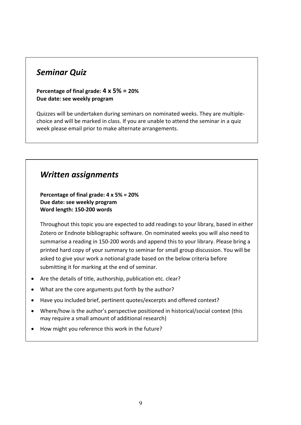# *Seminar Quiz*

Percentage of final grade:  $4 \times 5\% = 20\%$ **Due date: see weekly program**

Quizzes will be undertaken during seminars on nominated weeks. They are multiplechoice and will be marked in class. If you are unable to attend the seminar in a quiz week please email prior to make alternate arrangements.

# *Written assignments*

**Percentage of final grade: 4 x 5% = 20% Due date: see weekly program Word length: 150-200 words**

Throughout this topic you are expected to add readings to your library, based in either Zotero or Endnote bibliographic software. On nominated weeks you will also need to summarise a reading in 150-200 words and append this to your library. Please bring a printed hard copy of your summary to seminar for small group discussion. You will be asked to give your work a notional grade based on the below criteria before submitting it for marking at the end of seminar.

- Are the details of title, authorship, publication etc. clear?
- What are the core arguments put forth by the author?
- Have you included brief, pertinent quotes/excerpts and offered context?
- Where/how is the author's perspective positioned in historical/social context (this may require a small amount of additional research)
- How might you reference this work in the future?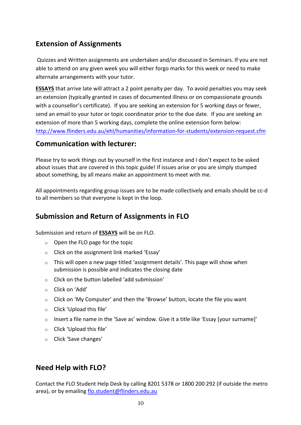#### **Extension of Assignments**

Quizzes and Written assignments are undertaken and/or discussed in Seminars. If you are not able to attend on any given week you will either forgo marks for this week or need to make alternate arrangements with your tutor.

**ESSAYS** that arrive late will attract a 2 point penalty per day. To avoid penalties you may seek an extension (typically granted in cases of documented illness or on compassionate grounds with a counsellor's certificate). If you are seeking an extension for 5 working days or fewer, send an email to your tutor or topic coordinator prior to the due date. If you are seeking an extension of more than 5 working days, complete the online extension form below: http://www.flinders.edu.au/ehl/humanities/information-for-students/extension-request.cfm

#### **Communication with lecturer:**

Please try to work things out by yourself in the first instance and I don't expect to be asked about issues that are covered in this topic guide! If issues arise or you are simply stumped about something, by all means make an appointment to meet with me.

All appointments regarding group issues are to be made collectively and emails should be cc-d to all members so that everyone is kept in the loop.

#### **Submission and Return of Assignments in FLO**

Submission and return of **ESSAYS** will be on FLO.

- $\circ$  Open the FLO page for the topic
- $\circ$  Click on the assignment link marked 'Essay'
- $\circ$  This will open a new page titled 'assignment details'. This page will show when submission is possible and indicates the closing date
- $\circ$  Click on the button labelled 'add submission'
- o Click on 'Add'
- $\circ$  Click on 'My Computer' and then the 'Browse' button, locate the file you want
- $\circ$  Click 'Upload this file'
- $\circ$  Insert a file name in the 'Save as' window. Give it a title like 'Essay [your surname]'
- $\circ$  Click 'Upload this file'
- o Click 'Save changes'

#### **Need Help with FLO?**

Contact the FLO Student Help Desk by calling 8201 5378 or 1800 200 292 (if outside the metro area), or by emailing flo.student@flinders.edu.au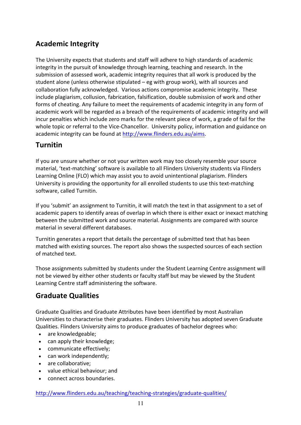# **Academic Integrity**

The University expects that students and staff will adhere to high standards of academic integrity in the pursuit of knowledge through learning, teaching and research. In the submission of assessed work, academic integrity requires that all work is produced by the student alone (unless otherwise stipulated  $-$  eg with group work), with all sources and collaboration fully acknowledged. Various actions compromise academic integrity. These include plagiarism, collusion, fabrication, falsification, double submission of work and other forms of cheating. Any failure to meet the requirements of academic integrity in any form of academic work will be regarded as a breach of the requirements of academic integrity and will incur penalties which include zero marks for the relevant piece of work, a grade of fail for the whole topic or referral to the Vice-Chancellor. University policy, information and guidance on academic integrity can be found at http://www.flinders.edu.au/aims.

# **Turnitin**

If you are unsure whether or not your written work may too closely resemble your source material, 'text-matching' software is available to all Flinders University students via Flinders Learning Online (FLO) which may assist you to avoid unintentional plagiarism. Flinders University is providing the opportunity for all enrolled students to use this text-matching software, called Turnitin.

If you 'submit' an assignment to Turnitin, it will match the text in that assignment to a set of academic papers to identify areas of overlap in which there is either exact or inexact matching between the submitted work and source material. Assignments are compared with source material in several different databases.

Turnitin generates a report that details the percentage of submitted text that has been matched with existing sources. The report also shows the suspected sources of each section of matched text.

Those assignments submitted by students under the Student Learning Centre assignment will not be viewed by either other students or faculty staff but may be viewed by the Student Learning Centre staff administering the software.

# **Graduate Qualities**

Graduate Qualities and Graduate Attributes have been identified by most Australian Universities to characterise their graduates. Flinders University has adopted seven Graduate Qualities. Flinders University aims to produce graduates of bachelor degrees who:

- are knowledgeable;
- can apply their knowledge;
- communicate effectively;
- can work independently;
- are collaborative;
- value ethical behaviour; and
- connect across boundaries.

http://www.flinders.edu.au/teaching/teaching-strategies/graduate-qualities/